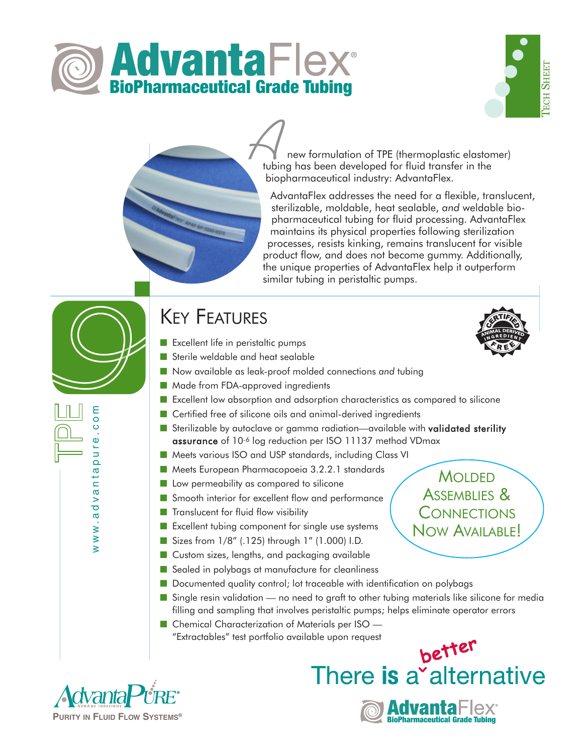





new formulation of TPE (thermoplastic elastomer) **A**<br> **A** new formulation of TPE (thermoplastic elaston<br> *A* tubing has been developed for fluid transfer in the biopharmaceutical industry: AdvantaFlex.

AdvantaFlex addresses the need for a flexible, translucent, sterilizable, moldable, heat sealable, *and* weldable biopharmaceutical tubing for fluid processing. AdvantaFlex maintains its physical properties following sterilization processes, resists kinking, remains translucent for visible product flow, and does not become gummy. Additionally, the unique properties of AdvantaFlex help it outperform similar tubing in peristaltic pumps.

# KEY FEATURES

- Excellent life in peristaltic pumps
- Sterile weldable and heat sealable
- Now available as leak-proof molded connections and tubing
- Made from FDA-approved ingredients
- Excellent low absorption and adsorption characteristics as compared to silicone
- Certified free of silicone oils and animal-derived ingredients
- Sterilizable by autoclave or gamma radiation—available with validated sterility assurance of 10-6 log reduction per ISO 11137 method VDmax
- Meets various ISO and USP standards, including Class VI
- Meets European Pharmacopoeia 3.2.2.1 standards
- Low permeability as compared to silicone
- Smooth interior for excellent flow and performance
- Translucent for fluid flow visibility
- Excellent tubing component for single use systems
- Sizes from 1/8" (.125) through 1" (1.000) I.D.
- Custom sizes, lengths, and packaging available
- Sealed in polybags at manufacture for cleanliness
- Documented quality control; lot traceable with identification on polybags
- Single resin validation no need to graft to other tubing materials like silicone for media filling and sampling that involves peristaltic pumps; helps eliminate operator errors
- Chemical Characterization of Materials per ISO "Extractables" test portfolio available upon request



www.advantapure.com

www.advanta

ε  $\circ$  $\frac{0}{1}$  $\Phi$  $\frac{1}{2}$  $\overline{\mathbf{Q}}$ 

> **MOLDED** ASSEMBLIES & **CONNECTIONS** NOW AVAILABLE!



BioPharmaceutical Grade Tubing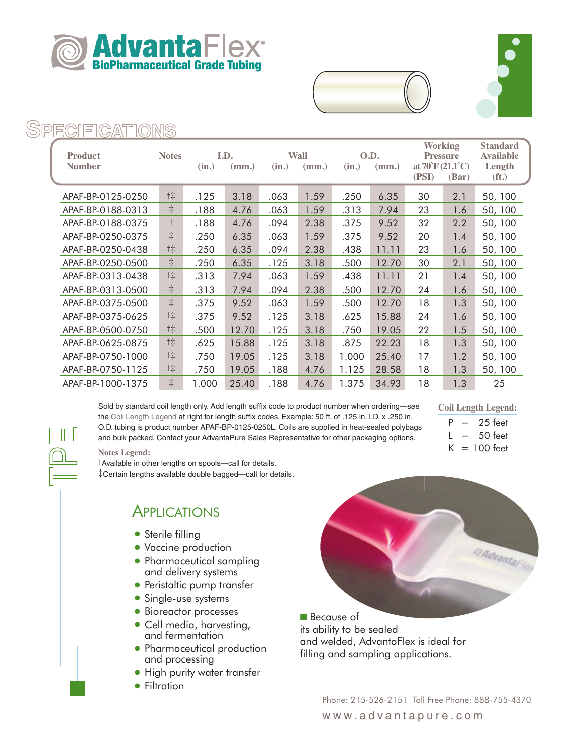





#### **SPECIFICATIONS**

|                   |              | I.D.  |       |       |       | O.D.  |       | Working                                 |       | <b>Standard</b>  |
|-------------------|--------------|-------|-------|-------|-------|-------|-------|-----------------------------------------|-------|------------------|
| <b>Product</b>    | <b>Notes</b> |       |       |       | Wall  |       |       | <b>Pressure</b>                         |       | <b>Available</b> |
| <b>Number</b>     |              | (in.) | (mm.) | (in.) | (mm.) | (in.) | (mm.) | at $70^{\circ}$ F (21.1 <sup>o</sup> C) |       | Length           |
|                   |              |       |       |       |       |       |       | (PSI)                                   | (Bar) | $({\bf ft.})$    |
| APAF-BP-0125-0250 | 垰            | .125  | 3.18  | .063  | 1.59  | .250  | 6.35  | 30                                      | 2.1   | 50, 100          |
| APAF-BP-0188-0313 | $\ddagger$   | .188  | 4.76  | .063  | 1.59  | .313  | 7.94  | 23                                      | 1.6   | 50, 100          |
| APAF-BP-0188-0375 | $^+$         | .188  | 4.76  | .094  | 2.38  | .375  | 9.52  | 32                                      | 2.2   | 50, 100          |
| APAF-BP-0250-0375 | $\ddagger$   | .250  | 6.35  | .063  | 1.59  | .375  | 9.52  | 20                                      | 1.4   | 50, 100          |
| APAF-BP-0250-0438 | t‡           | .250  | 6.35  | .094  | 2.38  | .438  | 11.11 | 23                                      | 1.6   | 50, 100          |
| APAF-BP-0250-0500 | $\ddagger$   | .250  | 6.35  | .125  | 3.18  | .500  | 12.70 | 30                                      | 2.1   | 50, 100          |
| APAF-BP-0313-0438 | t‡           | .313  | 7.94  | .063  | 1.59  | .438  | 11.11 | 21                                      | 1.4   | 50, 100          |
| APAF-BP-0313-0500 | $\ddagger$   | .313  | 7.94  | .094  | 2.38  | .500  | 12.70 | 24                                      | 1.6   | 50, 100          |
| APAF-BP-0375-0500 | $\ddagger$   | .375  | 9.52  | .063  | 1.59  | .500  | 12.70 | 18                                      | 1.3   | 50, 100          |
| APAF-BP-0375-0625 | t‡           | .375  | 9.52  | .125  | 3.18  | .625  | 15.88 | 24                                      | 1.6   | 50, 100          |
| APAF-BP-0500-0750 | t‡           | .500  | 12.70 | .125  | 3.18  | .750  | 19.05 | 22                                      | 1.5   | 50, 100          |
| APAF-BP-0625-0875 | t‡           | .625  | 15.88 | .125  | 3.18  | .875  | 22.23 | 18                                      | 1.3   | 50, 100          |
| APAF-BP-0750-1000 | t‡           | .750  | 19.05 | .125  | 3.18  | 1.000 | 25.40 | 17                                      | 1.2   | 50, 100          |
| APAF-BP-0750-1125 | t‡           | .750  | 19.05 | .188  | 4.76  | 1.125 | 28.58 | 18                                      | 1.3   | 50, 100          |
| APAF-BP-1000-1375 | $\ddagger$   | 1.000 | 25.40 | .188  | 4.76  | 1.375 | 34.93 | 18                                      | 1.3   | 25               |

Sold by standard coil length only. Add length suffix code to product number when ordering—see the Coil Length Legend at right for length suffix codes. Example: 50 ft. of .125 in. I.D. x .250 in. O.D. tubing is product number APAF-BP-0125-0250L. Coils are supplied in heat-sealed polybags and bulk packed. Contact your AdvantaPure Sales Representative for other packaging options.

#### **Coil Length Legend:**

 $= 25$  feet

 $L = 50$  feet  $K = 100$  feet

#### **Notes Legend:**

†Available in other lengths on spools—call for details. ‡Certain lengths available double bagged—call for details.

#### APPLICATIONS

- Sterile filling
- Vaccine production
- Pharmaceutical sampling and delivery systems
- Peristaltic pump transfer
- Single-use systems
- Bioreactor processes
- Cell media, harvesting, and fermentation
- Pharmaceutical production and processing
- High purity water transfer
- Filtration



■ Because of its ability to be sealed and welded, AdvantaFlex is ideal for filling and sampling applications.

> Phone: 215-526-2151 Toll Free Phone: 888-755-4370 www.advantapure.com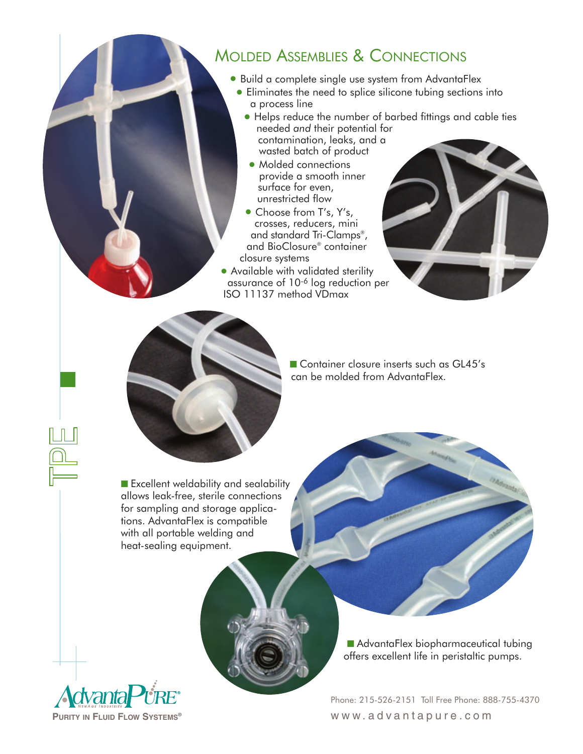### MOLDED ASSEMBLIES & CONNECTIONS

- •Build a complete single use system from AdvantaFlex
	- •Eliminates the need to splice silicone tubing sections into a process line
	- Helps reduce the number of barbed fittings and cable ties needed *and* their potential for contamination, leaks, and a wasted batch of product
	- Molded connections provide a smooth inner surface for even, unrestricted flow
	- Choose from T's, Y's, crosses, reducers, mini and standard Tri-Clamps®, and BioClosure® container closure systems
- Available with validated sterility assurance of 10-6 log reduction per ISO 11137 method VDmax



■ Container closure inserts such as GL45's can be molded from AdvantaFlex.

■ Excellent weldability and sealability allows leak-free, sterile connections for sampling and storage applications. AdvantaFlex is compatible with all portable welding and heat-sealing equipment.



■ AdvantaFlex biopharmaceutical tubing offers excellent life in peristaltic pumps.

Phone: 215-526-2151 Toll Free Phone: 888-755-4370 www.advantapure.com